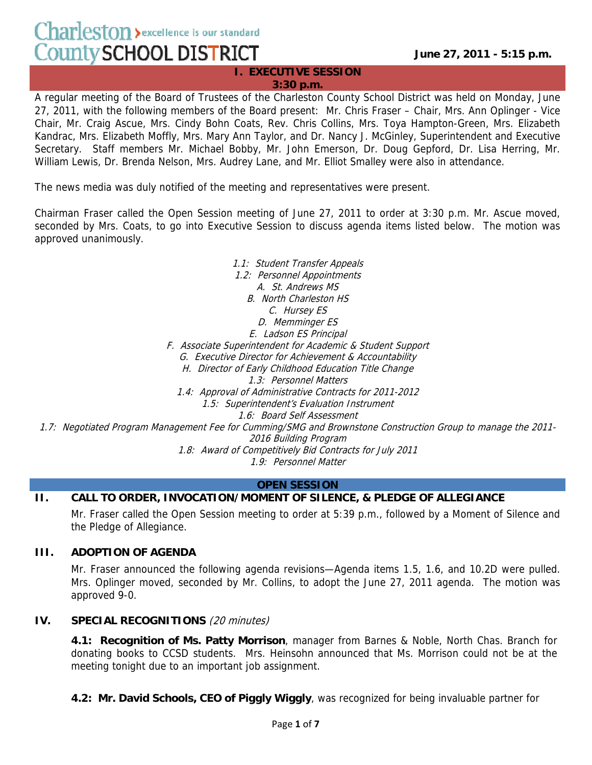$Charleston$  > excellence is our standard County SCHOOL DISTRICT

**June 27, 2011 - 5:15 p.m.**

**I. EXECUTIVE SESSION 3:30 p.m.**

A regular meeting of the Board of Trustees of the Charleston County School District was held on Monday, June 27, 2011, with the following members of the Board present: Mr. Chris Fraser – Chair, Mrs. Ann Oplinger - Vice Chair, Mr. Craig Ascue, Mrs. Cindy Bohn Coats, Rev. Chris Collins, Mrs. Toya Hampton-Green, Mrs. Elizabeth Kandrac, Mrs. Elizabeth Moffly, Mrs. Mary Ann Taylor, and Dr. Nancy J. McGinley, Superintendent and Executive Secretary. Staff members Mr. Michael Bobby, Mr. John Emerson, Dr. Doug Gepford, Dr. Lisa Herring, Mr. William Lewis, Dr. Brenda Nelson, Mrs. Audrey Lane, and Mr. Elliot Smalley were also in attendance.

The news media was duly notified of the meeting and representatives were present.

Chairman Fraser called the Open Session meeting of June 27, 2011 to order at 3:30 p.m. Mr. Ascue moved, seconded by Mrs. Coats, to go into Executive Session to discuss agenda items listed below. The motion was approved unanimously.

1.1: Student Transfer Appeals 1.2: Personnel Appointments A. St. Andrews MS B. North Charleston HS C. Hursey ES D. Memminger ES E. Ladson ES Principal F. Associate Superintendent for Academic & Student Support G. Executive Director for Achievement & Accountability H. Director of Early Childhood Education Title Change 1.3: Personnel Matters 1.4: Approval of Administrative Contracts for 2011-2012 1.5: Superintendent's Evaluation Instrument 1.6: Board Self Assessment 1.7: Negotiated Program Management Fee for Cumming/SMG and Brownstone Construction Group to manage the 2011- 2016 Building Program 1.8: Award of Competitively Bid Contracts for July 2011

1.9: Personnel Matter

#### **OPEN SESSION**

#### **II. CALL TO ORDER, INVOCATION/MOMENT OF SILENCE, & PLEDGE OF ALLEGIANCE**

Mr. Fraser called the Open Session meeting to order at 5:39 p.m., followed by a Moment of Silence and the Pledge of Allegiance.

#### **III. ADOPTION OF AGENDA**

Mr. Fraser announced the following agenda revisions—Agenda items 1.5, 1.6, and 10.2D were pulled. Mrs. Oplinger moved, seconded by Mr. Collins, to adopt the June 27, 2011 agenda. The motion was approved 9-0.

#### **IV. SPECIAL RECOGNITIONS** (20 minutes)

**4.1: Recognition of Ms. Patty Morrison**, manager from Barnes & Noble, North Chas. Branch for donating books to CCSD students. Mrs. Heinsohn announced that Ms. Morrison could not be at the meeting tonight due to an important job assignment.

**4.2: Mr. David Schools, CEO of Piggly Wiggly**, was recognized for being invaluable partner for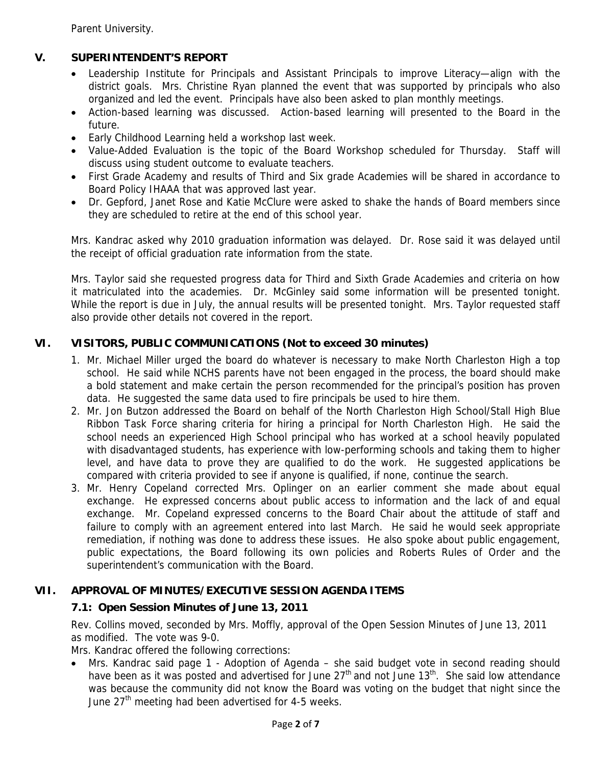Parent University.

# **V. SUPERINTENDENT'S REPORT**

- Leadership Institute for Principals and Assistant Principals to improve Literacy—align with the district goals. Mrs. Christine Ryan planned the event that was supported by principals who also organized and led the event. Principals have also been asked to plan monthly meetings.
- Action-based learning was discussed. Action-based learning will presented to the Board in the future.
- Early Childhood Learning held a workshop last week.
- Value-Added Evaluation is the topic of the Board Workshop scheduled for Thursday. Staff will discuss using student outcome to evaluate teachers.
- First Grade Academy and results of Third and Six grade Academies will be shared in accordance to Board Policy IHAAA that was approved last year.
- Dr. Gepford, Janet Rose and Katie McClure were asked to shake the hands of Board members since they are scheduled to retire at the end of this school year.

Mrs. Kandrac asked why 2010 graduation information was delayed. Dr. Rose said it was delayed until the receipt of official graduation rate information from the state.

Mrs. Taylor said she requested progress data for Third and Sixth Grade Academies and criteria on how it matriculated into the academies. Dr. McGinley said some information will be presented tonight. While the report is due in July, the annual results will be presented tonight. Mrs. Taylor requested staff also provide other details not covered in the report.

## **VI. VISITORS, PUBLIC COMMUNICATIONS (Not to exceed 30 minutes)**

- 1. Mr. Michael Miller urged the board do whatever is necessary to make North Charleston High a top school. He said while NCHS parents have not been engaged in the process, the board should make a bold statement and make certain the person recommended for the principal's position has proven data. He suggested the same data used to fire principals be used to hire them.
- 2. Mr. Jon Butzon addressed the Board on behalf of the North Charleston High School/Stall High Blue Ribbon Task Force sharing criteria for hiring a principal for North Charleston High. He said the school needs an experienced High School principal who has worked at a school heavily populated with disadvantaged students, has experience with low-performing schools and taking them to higher level, and have data to prove they are qualified to do the work. He suggested applications be compared with criteria provided to see if anyone is qualified, if none, continue the search.
- 3. Mr. Henry Copeland corrected Mrs. Oplinger on an earlier comment she made about equal exchange. He expressed concerns about public access to information and the lack of and equal exchange. Mr. Copeland expressed concerns to the Board Chair about the attitude of staff and failure to comply with an agreement entered into last March. He said he would seek appropriate remediation, if nothing was done to address these issues. He also spoke about public engagement, public expectations, the Board following its own policies and Roberts Rules of Order and the superintendent's communication with the Board.

## **VII. APPROVAL OF MINUTES/EXECUTIVE SESSION AGENDA ITEMS**

## **7.1: Open Session Minutes of June 13, 2011**

Rev. Collins moved, seconded by Mrs. Moffly, approval of the Open Session Minutes of June 13, 2011 as modified. The vote was 9-0.

Mrs. Kandrac offered the following corrections:

• Mrs. Kandrac said page 1 - Adoption of Agenda – she said budget vote in second reading should have been as it was posted and advertised for June  $27<sup>th</sup>$  and not June  $13<sup>th</sup>$ . She said low attendance was because the community did not know the Board was voting on the budget that night since the June  $27<sup>th</sup>$  meeting had been advertised for 4-5 weeks.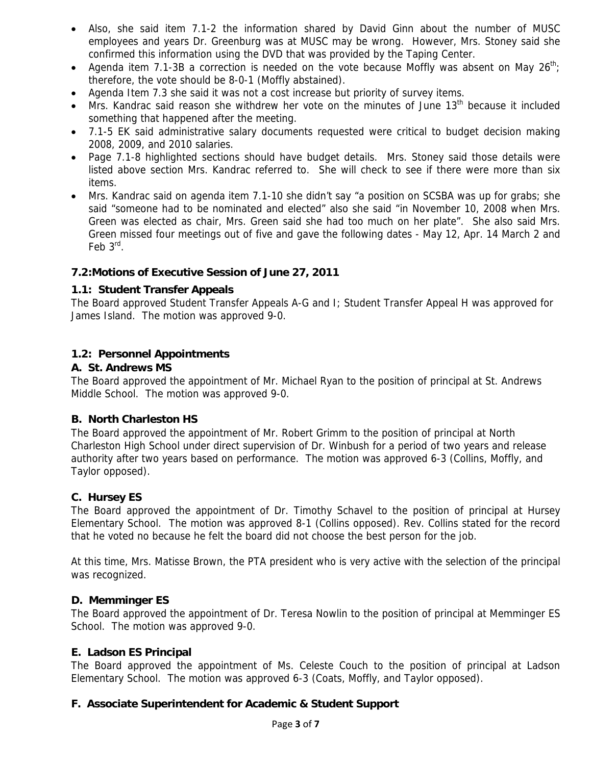- Also, she said item 7.1-2 the information shared by David Ginn about the number of MUSC employees and years Dr. Greenburg was at MUSC may be wrong. However, Mrs. Stoney said she confirmed this information using the DVD that was provided by the Taping Center.
- Agenda item 7.1-3B a correction is needed on the vote because Moffly was absent on May 26<sup>th</sup>; therefore, the vote should be 8-0-1 (Moffly abstained).
- Agenda Item 7.3 she said it was not a cost increase but priority of survey items.
- Mrs. Kandrac said reason she withdrew her vote on the minutes of June  $13<sup>th</sup>$  because it included something that happened after the meeting.
- 7.1-5 EK said administrative salary documents requested were critical to budget decision making 2008, 2009, and 2010 salaries.
- Page 7.1-8 highlighted sections should have budget details. Mrs. Stoney said those details were listed above section Mrs. Kandrac referred to. She will check to see if there were more than six items.
- Mrs. Kandrac said on agenda item 7.1-10 she didn't say "a position on SCSBA was up for grabs; she said "someone had to be nominated and elected" also she said "in November 10, 2008 when Mrs. Green was elected as chair, Mrs. Green said she had too much on her plate". She also said Mrs. Green missed four meetings out of five and gave the following dates - May 12, Apr. 14 March 2 and Feb 3<sup>rd</sup>.

# **7.2:Motions of Executive Session of June 27, 2011**

## **1.1: Student Transfer Appeals**

The Board approved Student Transfer Appeals A-G and I; Student Transfer Appeal H was approved for James Island. The motion was approved 9-0.

## **1.2: Personnel Appointments**

## **A. St. Andrews MS**

The Board approved the appointment of Mr. Michael Ryan to the position of principal at St. Andrews Middle School. The motion was approved 9-0.

## **B. North Charleston HS**

The Board approved the appointment of Mr. Robert Grimm to the position of principal at North Charleston High School under direct supervision of Dr. Winbush for a period of two years and release authority after two years based on performance. The motion was approved 6-3 (Collins, Moffly, and Taylor opposed).

## **C. Hursey ES**

The Board approved the appointment of Dr. Timothy Schavel to the position of principal at Hursey Elementary School. The motion was approved 8-1 (Collins opposed). Rev. Collins stated for the record that he voted no because he felt the board did not choose the best person for the job.

At this time, Mrs. Matisse Brown, the PTA president who is very active with the selection of the principal was recognized.

## **D. Memminger ES**

The Board approved the appointment of Dr. Teresa Nowlin to the position of principal at Memminger ES School. The motion was approved 9-0.

## **E. Ladson ES Principal**

The Board approved the appointment of Ms. Celeste Couch to the position of principal at Ladson Elementary School. The motion was approved 6-3 (Coats, Moffly, and Taylor opposed).

## **F. Associate Superintendent for Academic & Student Support**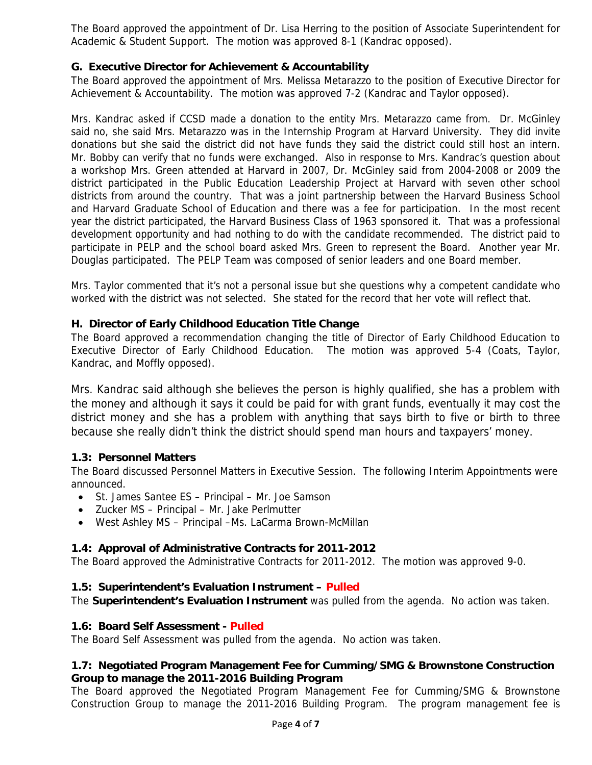The Board approved the appointment of Dr. Lisa Herring to the position of Associate Superintendent for Academic & Student Support. The motion was approved 8-1 (Kandrac opposed).

### **G. Executive Director for Achievement & Accountability**

The Board approved the appointment of Mrs. Melissa Metarazzo to the position of Executive Director for Achievement & Accountability. The motion was approved 7-2 (Kandrac and Taylor opposed).

Mrs. Kandrac asked if CCSD made a donation to the entity Mrs. Metarazzo came from. Dr. McGinley said no, she said Mrs. Metarazzo was in the Internship Program at Harvard University. They did invite donations but she said the district did not have funds they said the district could still host an intern. Mr. Bobby can verify that no funds were exchanged. Also in response to Mrs. Kandrac's question about a workshop Mrs. Green attended at Harvard in 2007, Dr. McGinley said from 2004-2008 or 2009 the district participated in the Public Education Leadership Project at Harvard with seven other school districts from around the country. That was a joint partnership between the Harvard Business School and Harvard Graduate School of Education and there was a fee for participation. In the most recent year the district participated, the Harvard Business Class of 1963 sponsored it. That was a professional development opportunity and had nothing to do with the candidate recommended. The district paid to participate in PELP and the school board asked Mrs. Green to represent the Board. Another year Mr. Douglas participated. The PELP Team was composed of senior leaders and one Board member.

Mrs. Taylor commented that it's not a personal issue but she questions why a competent candidate who worked with the district was not selected. She stated for the record that her vote will reflect that.

### **H. Director of Early Childhood Education Title Change**

The Board approved a recommendation changing the title of Director of Early Childhood Education to Executive Director of Early Childhood Education. The motion was approved 5-4 (Coats, Taylor, Kandrac, and Moffly opposed).

Mrs. Kandrac said although she believes the person is highly qualified, she has a problem with the money and although it says it could be paid for with grant funds, eventually it may cost the district money and she has a problem with anything that says birth to five or birth to three because she really didn't think the district should spend man hours and taxpayers' money.

#### **1.3: Personnel Matters**

The Board discussed Personnel Matters in Executive Session. The following Interim Appointments were announced.

- St. James Santee ES Principal Mr. Joe Samson
- Zucker MS Principal Mr. Jake Perlmutter
- West Ashley MS Principal –Ms. LaCarma Brown-McMillan

## **1.4: Approval of Administrative Contracts for 2011-2012**

The Board approved the Administrative Contracts for 2011-2012. The motion was approved 9-0.

#### **1.5: Superintendent's Evaluation Instrument – Pulled**

The **Superintendent's Evaluation Instrument** was pulled from the agenda. No action was taken.

#### **1.6: Board Self Assessment - Pulled**

The Board Self Assessment was pulled from the agenda. No action was taken.

### **1.7: Negotiated Program Management Fee for Cumming/SMG & Brownstone Construction Group to manage the 2011-2016 Building Program**

The Board approved the Negotiated Program Management Fee for Cumming/SMG & Brownstone Construction Group to manage the 2011-2016 Building Program. The program management fee is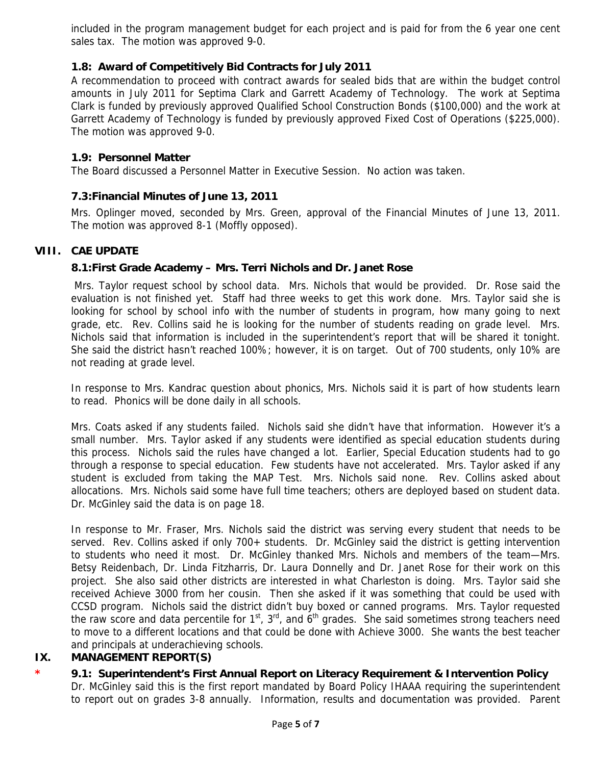included in the program management budget for each project and is paid for from the 6 year one cent sales tax. The motion was approved 9-0.

### **1.8: Award of Competitively Bid Contracts for July 2011**

A recommendation to proceed with contract awards for sealed bids that are within the budget control amounts in July 2011 for Septima Clark and Garrett Academy of Technology. The work at Septima Clark is funded by previously approved Qualified School Construction Bonds (\$100,000) and the work at Garrett Academy of Technology is funded by previously approved Fixed Cost of Operations (\$225,000). The motion was approved 9-0.

#### **1.9: Personnel Matter**

The Board discussed a Personnel Matter in Executive Session. No action was taken.

#### **7.3:Financial Minutes of June 13, 2011**

Mrs. Oplinger moved, seconded by Mrs. Green, approval of the Financial Minutes of June 13, 2011. The motion was approved 8-1 (Moffly opposed).

### **VIII. CAE UPDATE**

#### **8.1:First Grade Academy – Mrs. Terri Nichols and Dr. Janet Rose**

 Mrs. Taylor request school by school data. Mrs. Nichols that would be provided. Dr. Rose said the evaluation is not finished yet. Staff had three weeks to get this work done. Mrs. Taylor said she is looking for school by school info with the number of students in program, how many going to next grade, etc. Rev. Collins said he is looking for the number of students reading on grade level. Mrs. Nichols said that information is included in the superintendent's report that will be shared it tonight. She said the district hasn't reached 100%; however, it is on target. Out of 700 students, only 10% are not reading at grade level.

In response to Mrs. Kandrac question about phonics, Mrs. Nichols said it is part of how students learn to read. Phonics will be done daily in all schools.

Mrs. Coats asked if any students failed. Nichols said she didn't have that information. However it's a small number. Mrs. Taylor asked if any students were identified as special education students during this process. Nichols said the rules have changed a lot. Earlier, Special Education students had to go through a response to special education. Few students have not accelerated. Mrs. Taylor asked if any student is excluded from taking the MAP Test. Mrs. Nichols said none. Rev. Collins asked about allocations. Mrs. Nichols said some have full time teachers; others are deployed based on student data. Dr. McGinley said the data is on page 18.

In response to Mr. Fraser, Mrs. Nichols said the district was serving every student that needs to be served. Rev. Collins asked if only 700+ students. Dr. McGinley said the district is getting intervention to students who need it most. Dr. McGinley thanked Mrs. Nichols and members of the team—Mrs. Betsy Reidenbach, Dr. Linda Fitzharris, Dr. Laura Donnelly and Dr. Janet Rose for their work on this project. She also said other districts are interested in what Charleston is doing. Mrs. Taylor said she received Achieve 3000 from her cousin. Then she asked if it was something that could be used with CCSD program. Nichols said the district didn't buy boxed or canned programs. Mrs. Taylor requested the raw score and data percentile for  $1<sup>st</sup>$ ,  $3<sup>rd</sup>$ , and  $6<sup>th</sup>$  grades. She said sometimes strong teachers need to move to a different locations and that could be done with Achieve 3000. She wants the best teacher and principals at underachieving schools.

### **IX. MANAGEMENT REPORT(S)**

#### **\* 9.1: Superintendent's First Annual Report on Literacy Requirement & Intervention Policy**

Dr. McGinley said this is the first report mandated by Board Policy IHAAA requiring the superintendent to report out on grades 3-8 annually. Information, results and documentation was provided. Parent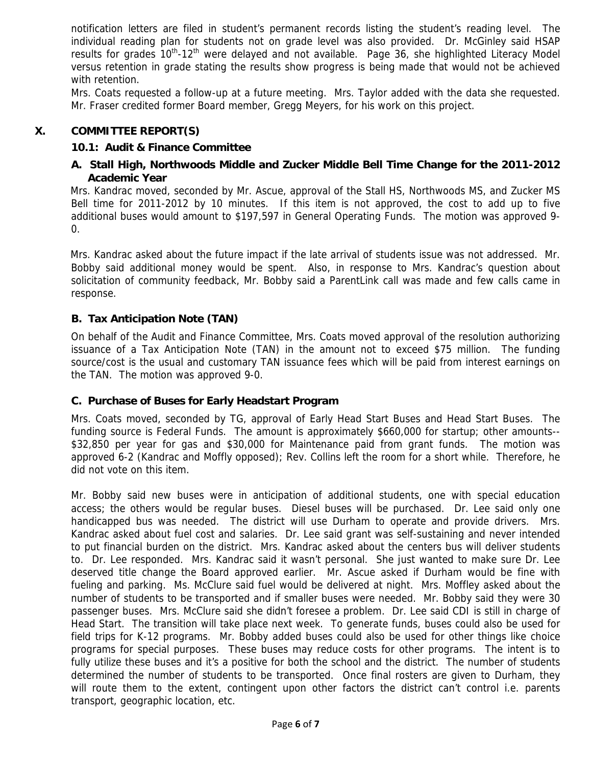notification letters are filed in student's permanent records listing the student's reading level. The individual reading plan for students not on grade level was also provided. Dr. McGinley said HSAP results for grades 10<sup>th</sup>-12<sup>th</sup> were delayed and not available. Page 36, she highlighted Literacy Model versus retention in grade stating the results show progress is being made that would not be achieved with retention.

Mrs. Coats requested a follow-up at a future meeting. Mrs. Taylor added with the data she requested. Mr. Fraser credited former Board member, Gregg Meyers, for his work on this project.

### **X. COMMITTEE REPORT(S)**

### **10.1: Audit & Finance Committee**

### **A. Stall High, Northwoods Middle and Zucker Middle Bell Time Change for the 2011-2012 Academic Year**

Mrs. Kandrac moved, seconded by Mr. Ascue, approval of the Stall HS, Northwoods MS, and Zucker MS Bell time for 2011-2012 by 10 minutes. If this item is not approved, the cost to add up to five additional buses would amount to \$197,597 in General Operating Funds. The motion was approved 9- 0.

Mrs. Kandrac asked about the future impact if the late arrival of students issue was not addressed. Mr. Bobby said additional money would be spent. Also, in response to Mrs. Kandrac's question about solicitation of community feedback, Mr. Bobby said a ParentLink call was made and few calls came in response.

### **B. Tax Anticipation Note (TAN)**

On behalf of the Audit and Finance Committee, Mrs. Coats moved approval of the resolution authorizing issuance of a Tax Anticipation Note (TAN) in the amount not to exceed \$75 million. The funding source/cost is the usual and customary TAN issuance fees which will be paid from interest earnings on the TAN. The motion was approved 9-0.

#### **C. Purchase of Buses for Early Headstart Program**

Mrs. Coats moved, seconded by TG, approval of Early Head Start Buses and Head Start Buses. The funding source is Federal Funds. The amount is approximately \$660,000 for startup; other amounts-- \$32,850 per year for gas and \$30,000 for Maintenance paid from grant funds. The motion was approved 6-2 (Kandrac and Moffly opposed); Rev. Collins left the room for a short while. Therefore, he did not vote on this item.

Mr. Bobby said new buses were in anticipation of additional students, one with special education access; the others would be regular buses. Diesel buses will be purchased. Dr. Lee said only one handicapped bus was needed. The district will use Durham to operate and provide drivers. Mrs. Kandrac asked about fuel cost and salaries. Dr. Lee said grant was self-sustaining and never intended to put financial burden on the district. Mrs. Kandrac asked about the centers bus will deliver students to. Dr. Lee responded. Mrs. Kandrac said it wasn't personal. She just wanted to make sure Dr. Lee deserved title change the Board approved earlier. Mr. Ascue asked if Durham would be fine with fueling and parking. Ms. McClure said fuel would be delivered at night. Mrs. Moffley asked about the number of students to be transported and if smaller buses were needed. Mr. Bobby said they were 30 passenger buses. Mrs. McClure said she didn't foresee a problem. Dr. Lee said CDI is still in charge of Head Start. The transition will take place next week. To generate funds, buses could also be used for field trips for K-12 programs. Mr. Bobby added buses could also be used for other things like choice programs for special purposes. These buses may reduce costs for other programs. The intent is to fully utilize these buses and it's a positive for both the school and the district. The number of students determined the number of students to be transported. Once final rosters are given to Durham, they will route them to the extent, contingent upon other factors the district can't control i.e. parents transport, geographic location, etc.